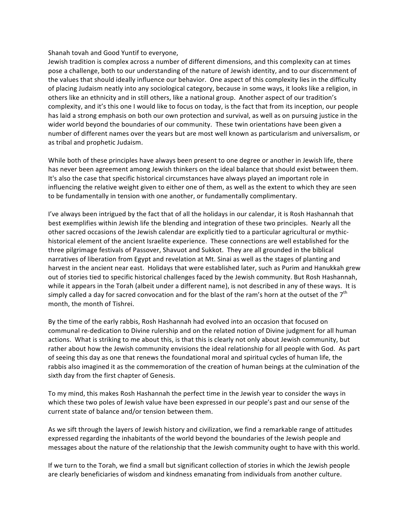## Shanah
tovah
and
Good
Yuntif
to
everyone,

Jewish tradition is complex across a number of different dimensions, and this complexity can at times pose a challenge, both to our understanding of the nature of Jewish identity, and to our discernment of the values that should ideally influence our behavior. One aspect of this complexity lies in the difficulty of placing Judaism neatly into any sociological category, because in some ways, it looks like a religion, in others
like
an
ethnicity
and
in
still
others,
like
a
national
group.

Another
aspect
of
our
tradition's complexity, and it's this one I would like to focus on today, is the fact that from its inception, our people has laid a strong emphasis on both our own protection and survival, as well as on pursuing justice in the wider world beyond the boundaries of our community. These twin orientations have been given a number
of
different
names
over
the
years
but
are
most
well
known
as
particularism
and
universalism,
or as
tribal
and
prophetic
Judaism.

While both of these principles have always been present to one degree or another in Jewish life, there has never been agreement among Jewish thinkers on the ideal balance that should exist between them. It's also the case that specific historical circumstances have always played an important role in influencing the relative weight given to either one of them, as well as the extent to which they are seen to
be
fundamentally
in
tension
with
one
another,
or
fundamentally
complimentary.

I've always been intrigued by the fact that of all the holidays in our calendar, it is Rosh Hashannah that best exemplifies within Jewish life the blending and integration of these two principles. Nearly all the other sacred occasions of the Jewish calendar are explicitly tied to a particular agricultural or mythichistorical element of the ancient Israelite experience. These connections are well established for the three pilgrimage festivals of Passover, Shavuot and Sukkot. They are all grounded in the biblical narratives of liberation from Egypt and revelation at Mt. Sinai as well as the stages of planting and harvest in the ancient near east. Holidays that were established later, such as Purim and Hanukkah grew out of stories tied to specific historical challenges faced by the Jewish community. But Rosh Hashannah, while it appears in the Torah (albeit under a different name), is not described in any of these ways. It is simply called a day for sacred convocation and for the blast of the ram's horn at the outset of the  $7<sup>th</sup>$ month,
the
month
of
Tishrei.

By the time of the early rabbis, Rosh Hashannah had evolved into an occasion that focused on communal re-dedication to Divine rulership and on the related notion of Divine judgment for all human actions. What is striking to me about this, is that this is clearly not only about Jewish community, but rather about how the Jewish community envisions the ideal relationship for all people with God. As part of
seeing
this
day
as
one
that
renews
the
foundational
moral
and
spiritual
cycles
of
human
life,
the rabbis also imagined it as the commemoration of the creation of human beings at the culmination of the sixth
day
from
the
first
chapter
of
Genesis.

To my mind, this makes Rosh Hashannah the perfect time in the Jewish year to consider the ways in which these two poles of Jewish value have been expressed in our people's past and our sense of the current
state
of
balance
and/or
tension
between
them.

As we sift through the layers of Jewish history and civilization, we find a remarkable range of attitudes expressed
regarding
the
inhabitants
of
the
world
beyond
the
boundaries
of
the
Jewish
people
and messages about the nature of the relationship that the Jewish community ought to have with this world.

If we turn to the Torah, we find a small but significant collection of stories in which the Jewish people are
clearly
beneficiaries
of
wisdom
and
kindness
emanating
from
individuals
from
another
culture.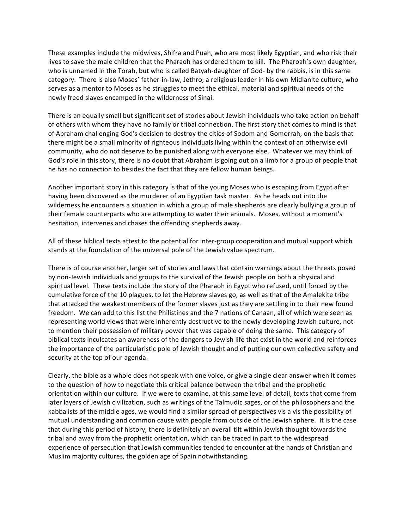These
examples
include
the
midwives,
Shifra
and
Puah,
who
are
most
likely
Egyptian,
and
who
risk
their lives to save the male children that the Pharaoh has ordered them to kill. The Pharoah's own daughter, who is unnamed in the Torah, but who is called Batyah-daughter of God- by the rabbis, is in this same category. There is also Moses' father-in-law, Jethro, a religious leader in his own Midianite culture, who serves as a mentor to Moses as he struggles to meet the ethical, material and spiritual needs of the newly
freed
slaves
encamped
in
the
wilderness
of
Sinai.

There is an equally small but significant set of stories about Jewish individuals who take action on behalf of others with whom they have no family or tribal connection. The first story that comes to mind is that of
Abraham
challenging
God's
decision
to
destroy
the
cities
of
Sodom
and
Gomorrah,
on
the
basis
that there might be a small minority of righteous individuals living within the context of an otherwise evil community,
who
do
not
deserve
to
be
punished
along
with
everyone
else.

Whatever
we
may
think
of God's role in this story, there is no doubt that Abraham is going out on a limb for a group of people that he
has
no
connection
to
besides
the
fact
that
they
are
fellow
human
beings.

Another important story in this category is that of the young Moses who is escaping from Egypt after having been discovered as the murderer of an Egyptian task master. As he heads out into the wilderness he encounters a situation in which a group of male shepherds are clearly bullying a group of their
female
counterparts
who
are
attempting
to
water
their
animals.

Moses,
without
a
moment's hesitation,
intervenes
and
chases
the
offending
shepherds
away.

All of these biblical texts attest to the potential for inter-group cooperation and mutual support which stands
at
the
foundation
of
the
universal
pole
of
the
Jewish
value
spectrum.

There is of course another, larger set of stories and laws that contain warnings about the threats posed by non-Jewish individuals and groups to the survival of the Jewish people on both a physical and spiritual level. These texts include the story of the Pharaoh in Egypt who refused, until forced by the cumulative
force
of
the
10
plagues,
to
let
the
Hebrew
slaves
go,
as
well
as
that
of
the
Amalekite
tribe that attacked the weakest members of the former slaves just as they are settling in to their new found freedom. We can add to this list the Philistines and the 7 nations of Canaan, all of which were seen as representing world views that were inherently destructive to the newly developing Jewish culture, not to mention their possession of military power that was capable of doing the same. This category of biblical
texts
inculcates
an
awareness
of
the
dangers
to
Jewish
life that
exist
in
the
world
and
reinforces the
importance
of
the
particularistic
pole
of
Jewish
thought
and
of
putting
our
own
collective
safety
and security at the top of our agenda.

Clearly,
the
bible
as
a
whole
does
not
speak
with
one
voice,
or
give
a
single
clear
answer
when
it
comes to the question of how to negotiate this critical balance between the tribal and the prophetic orientation
within
our
culture.

If
we
were
to
examine,
at
this
same
level
of
detail,
texts
that
come
from later layers of Jewish civilization, such as writings of the Talmudic sages, or of the philosophers and the kabbalists of the middle ages, we would find a similar spread of perspectives vis a vis the possibility of mutual
understanding
and
common
cause with
people
from
outside
of
the
Jewish
sphere. It
is
the
case that during this period of history, there is definitely an overall tilt within Jewish thought towards the tribal
and
away
from
the
prophetic
orientation,
which
can
be
traced
in
part
to
the
widespread experience of persecution that Jewish communities tended to encounter at the hands of Christian and Muslim
majority
cultures,
the
golden
age
of
Spain
notwithstanding.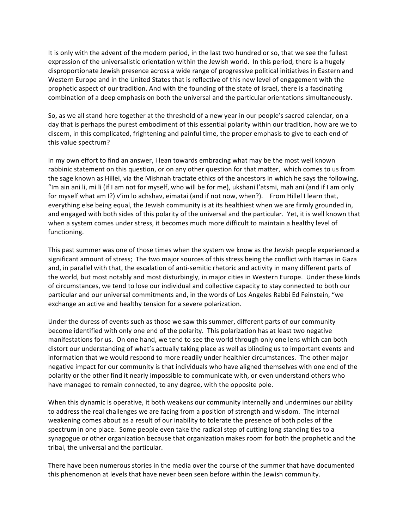It is only with the advent of the modern period, in the last two hundred or so, that we see the fullest expression of the universalistic orientation within the Jewish world. In this period, there is a hugely disproportionate Jewish presence across a wide range of progressive political initiatives in Eastern and Western Europe and in the United States that is reflective of this new level of engagement with the prophetic aspect of our tradition. And with the founding of the state of Israel, there is a fascinating combination
of
a
deep
emphasis
on
both
the
universal
and
the
particular
orientations
simultaneously.

So, as we all stand here together at the threshold of a new year in our people's sacred calendar, on a day that is perhaps the purest embodiment of this essential polarity within our tradition, how are we to discern, in this complicated, frightening and painful time, the proper emphasis to give to each end of this
value
spectrum?

In my own effort to find an answer, I lean towards embracing what may be the most well known rabbinic statement on this question, or on any other question for that matter, which comes to us from the sage known as Hillel, via the Mishnah tractate ethics of the ancestors in which he says the following, "Im ain ani li, mi li (if I am not for myself, who will be for me), ukshani l'atsmi, mah ani (and if I am only for myself what am I?) v'im lo achshav, eimatai (and if not now, when?). From Hillel I learn that, everything else being equal, the Jewish community is at its healthiest when we are firmly grounded in, and engaged with both sides of this polarity of the universal and the particular. Yet, it is well known that when a system comes under stress, it becomes much more difficult to maintain a healthy level of functioning.

This past summer was one of those times when the system we know as the Jewish people experienced a significant amount of stress; The two major sources of this stress being the conflict with Hamas in Gaza and, in parallel with that, the escalation of anti-semitic rhetoric and activity in many different parts of the world, but most notably and most disturbingly, in major cities in Western Europe. Under these kinds of circumstances, we tend to lose our individual and collective capacity to stay connected to both our particular and our universal commitments and, in the words of Los Angeles Rabbi Ed Feinstein, "we exchange
an
active
and
healthy
tension
for
a
severe
polarization.

Under the duress of events such as those we saw this summer, different parts of our community become identified with only one end of the polarity. This polarization has at least two negative manifestations
for
us.

On
one
hand,
we
tend
to
see
the
world
through
only
one
lens
which
can
both distort our understanding of what's actually taking place as well as blinding us to important events and information that we would respond to more readily under healthier circumstances. The other major negative impact for our community is that individuals who have aligned themselves with one end of the polarity
or
the
other
find
it
nearly
impossible
to
communicate
with,
or
even
understand
others
who have managed to remain connected, to any degree, with the opposite pole.

When this dynamic is operative, it both weakens our community internally and undermines our ability to address the real challenges we are facing from a position of strength and wisdom. The internal weakening comes about as a result of our inability to tolerate the presence of both poles of the spectrum in one place. Some people even take the radical step of cutting long standing ties to a synagogue or other organization because that organization makes room for both the prophetic and the tribal,
the
universal
and
the
particular.

There
have
been
numerous
stories
in
the
media
over
the
course
of
the
summer
that
have
documented this
phenomenon
at
levels
that
have
never
been
seen
before
within
the
Jewish
community.